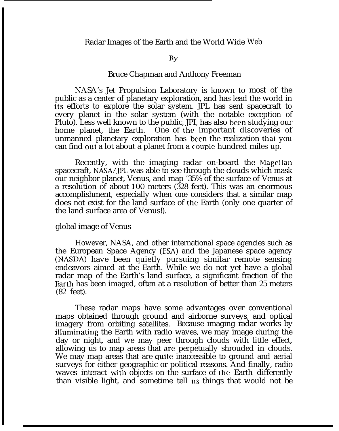### By

## Bruce Chapman and Anthony Freeman

NASA's Jet Propulsion Laboratory is known to most of the public as a center of planetary exploration, and has lead the world in its efforts to explore the solar system. JPL has sent spacecraft to every planet in the solar system (with the notable exception of Pluto). Less well known to the public, JPI, has also been studying our home planet, the Earth. One of the important discoveries of unmanned planetary exploration has been the realization that you can find out a lot about a planet from a couple hundred miles up.

Recently, with the imaging radar on-board the Magellan spacecraft, NASA/JPL was able to see through the clouds which mask our neighbor planet, Venus, and map '35% of the surface of Venus at a resolution of about 100 meters (328 feet). This was an enormous accomplishment, especially when one considers that a similar map does not exist for the land surface of the Earth (only one quarter of the land surface area of Venus!).

#### global image of Venus

However, NASA, and other international space agencies such as the European Space Agency (ESA) and the Japanese space agency (NASDA) have been quietly pursuing similar remote sensing endeavors aimed at the Earth. While we do not yet have a global radar map of the Earth's land surface, a significant fraction of the Earth has been imaged, often at a resolution of better than 25 meters (82 feet).

These radar maps have some advantages over conventional maps obtained through ground and airborne surveys, and optical imagery from orbiting satellites. Because imaging radar works by illuminating the Earth with radio waves, we may image during the day or night, and we may peer through clouds with little effect, allowing us to map areas that are perpetually shrouded in clouds. We may map areas that are quite inaccessible to ground and aerial surveys for either geographic or political reasons. And finally, radio waves interact with objects on the surface of the Earth differently than visible light, and sometime tell us things that would not be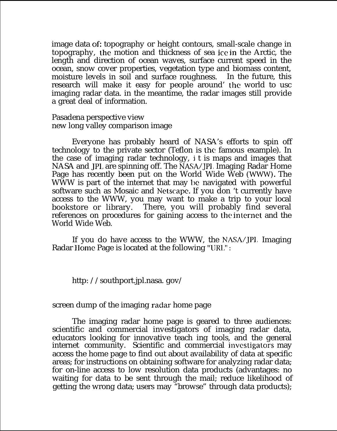image data of: topography or height contours, small-scale change in topography, the motion and thickness of sea ice in the Arctic, the length and direction of ocean waves, surface current speed in the ocean, snow cover properties, vegetation type and biomass content, moisture levels in soil and surface roughness. In the future, this research will make it easy for people around' the world to usc imaging radar data. in the meantime, the radar images still provide a great deal of information.

Pasadena perspective view new long valley comparison image

Everyone has probably heard of NASA's efforts to spin off technology to the private sector (Teflon is the famous example). In the case of imaging radar technology, j t is maps and images that NASA and JP1, are spinning off. The NASA/JPl, Imaging Radar Home Page has recently been put on the World Wide Web (WWW). The WWW is part of the internet that may be navigated with powerful software such as Mosaic and Netscape. If you don 't currently have access to the WWW, you may want to make a trip to your local bookstore or library. There, you will probably find several references on procedures for gaining access to the internet and the World Wide Web.

If you do have access to the WWW, the NASA/JPI, Imaging Radar IIome Page is located at the following "IJRL" :

http: //southport.jpl.nasa. gov/

screen dump of the imaging radar home page

The imaging radar home page is geared to three audiences: scientific and commercial investigators of imaging radar data, educators looking for innovative teach ing tools, and the general internet community. Scientific and commercial investigators may access the home page to find out about availability of data at specific areas; for instructions on obtaining software for analyzing radar data; for on-line access to low resolution data products (advantages: no waiting for data to be sent through the mail; reduce likelihood of getting the wrong data; users may "browse" through data products);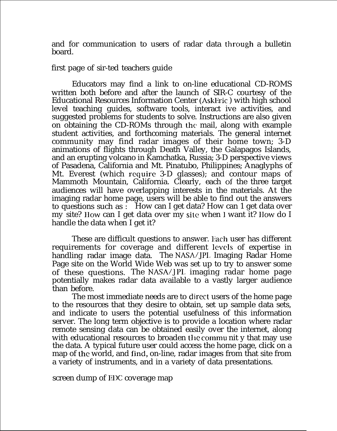and for communication to users of radar data through a bulletin board.

first page of sir-ted teachers guide

Educators may find a link to on-line educational CD-ROMS written both before and after the launch of SIR-C courtesy of the Educational Resources Information Center (AskEric ) with high school level teaching guides, software tools, interact ive activities, and suggested problems for students to solve. Instructions are also given on obtaining the CD-ROMs through the mail, along with example student activities, and forthcoming materials. The general internet community may find radar images of their home town; 3-D animations of flights through Death Valley, the Galapagos Islands, and an erupting volcano in Kamchatka, Russia; 3-D perspective views of Pasadena, California and Mt. Pinatubo, Philippines; Anaglyphs of Mt. Everest (which require 3-D glasses); and contour maps of Mammoth Mountain, California. Clearly, each of the three target audiences will have overlapping interests in the materials. At the imaging radar home page, users will be able to find out the answers to questions such as : How can I get data? How can 1 get data over my site? How can I get data over my site when I want it? How do I handle the data when I get it?

These are difficult questions to answer. Each user has different requirements for coverage and different levels of expertise in handling radar image data. The NASA/JPI, Imaging Radar Home Page site on the World Wide Web was set up to try to answer some of these questions. The NASA/JPL imaging radar home page potentially makes radar data available to a vastly larger audience than before.

The most immediate needs are to direct users of the home page to the resources that they desire to obtain, set up sample data sets, and indicate to users the potential usefulness of this information server. The long term objective is to provide a location where radar remote sensing data can be obtained easily over the internet, along with educational resources to broaden the commu nit y that may use the data. A typical future user could access the home page, click on a map of the world, and find, on-line, radar images from that site from a variety of instruments, and in a variety of data presentations.

screen dump of EDC coverage map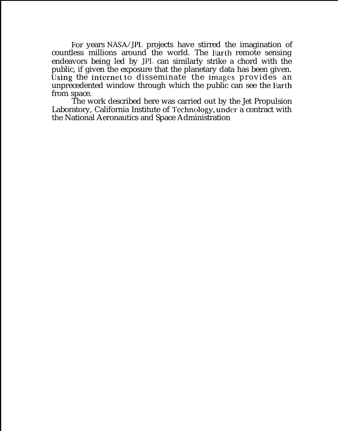For years NASA/JPL projects have stirred the imagination of countless millions around the world. The Earth remote sensing endeavors being led by JPI, can similarly strike a chord with the public, if given the exposure that the planetary data has been given. Using the internet to disseminate the images provides an unprecedented window through which the public can see the Earth from space.

The work described here was carried out by the Jet Propulsion Laboratory, California Institute of Technology, under a contract with the National Aeronautics and Space Administration